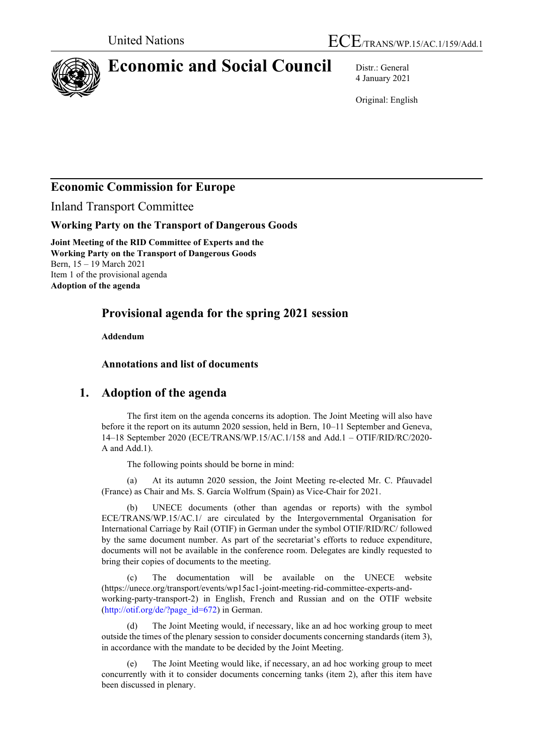

# **Economic and Social Council** Distr.: General

4 January 2021

Original: English

# **Economic Commission for Europe**

Inland Transport Committee

#### **Working Party on the Transport of Dangerous Goods**

**Joint Meeting of the RID Committee of Experts and the Working Party on the Transport of Dangerous Goods** Bern, 15 – 19 March 2021 Item 1 of the provisional agenda **Adoption of the agenda**

### **Provisional agenda for the spring 2021 session**

**Addendum**

#### **Annotations and list of documents**

### **1. Adoption of the agenda**

The first item on the agenda concerns its adoption. The Joint Meeting will also have before it the report on its autumn 2020 session, held in Bern, 10–11 September and Geneva, 14–18 September 2020 (ECE/TRANS/WP.15/AC.1/158 and Add.1 – OTIF/RID/RC/2020- A and Add.1).

The following points should be borne in mind:

(a) At its autumn 2020 session, the Joint Meeting re-elected Mr. C. Pfauvadel (France) as Chair and Ms. S. García Wolfrum (Spain) as Vice-Chair for 2021.

(b) UNECE documents (other than agendas or reports) with the symbol ECE/TRANS/WP.15/AC.1/ are circulated by the Intergovernmental Organisation for International Carriage by Rail (OTIF) in German under the symbol OTIF/RID/RC/ followed by the same document number. As part of the secretariat's efforts to reduce expenditure, documents will not be available in the conference room. Delegates are kindly requested to bring their copies of documents to the meeting.

(c) The documentation will be available on the UNECE website (https://unece.org/transport/events/wp15ac1-joint-meeting-rid-committee-experts-andworking-party-transport-2) in English, French and Russian and on the OTIF website [\(http://otif.org/de/?page\\_id=672\)](http://otif.org/de/?page_id=672) in German.

(d) The Joint Meeting would, if necessary, like an ad hoc working group to meet outside the times of the plenary session to consider documents concerning standards (item 3), in accordance with the mandate to be decided by the Joint Meeting.

The Joint Meeting would like, if necessary, an ad hoc working group to meet concurrently with it to consider documents concerning tanks (item 2), after this item have been discussed in plenary.